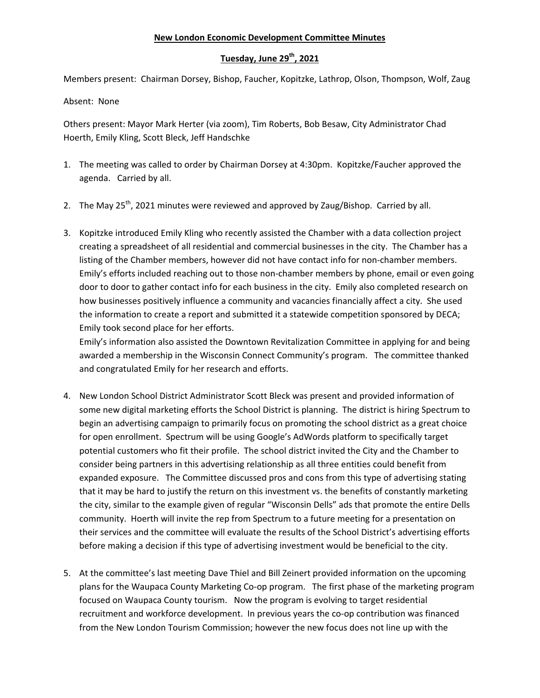## **New London Economic Development Committee Minutes**

## **Tuesday, June 29th, 2021**

Members present: Chairman Dorsey, Bishop, Faucher, Kopitzke, Lathrop, Olson, Thompson, Wolf, Zaug

Absent: None

Others present: Mayor Mark Herter (via zoom), Tim Roberts, Bob Besaw, City Administrator Chad Hoerth, Emily Kling, Scott Bleck, Jeff Handschke

- 1. The meeting was called to order by Chairman Dorsey at 4:30pm. Kopitzke/Faucher approved the agenda. Carried by all.
- 2. The May  $25^{th}$ , 2021 minutes were reviewed and approved by Zaug/Bishop. Carried by all.
- 3. Kopitzke introduced Emily Kling who recently assisted the Chamber with a data collection project creating a spreadsheet of all residential and commercial businesses in the city. The Chamber has a listing of the Chamber members, however did not have contact info for non-chamber members. Emily's efforts included reaching out to those non-chamber members by phone, email or even going door to door to gather contact info for each business in the city. Emily also completed research on how businesses positively influence a community and vacancies financially affect a city. She used the information to create a report and submitted it a statewide competition sponsored by DECA; Emily took second place for her efforts.

Emily's information also assisted the Downtown Revitalization Committee in applying for and being awarded a membership in the Wisconsin Connect Community's program. The committee thanked and congratulated Emily for her research and efforts.

- 4. New London School District Administrator Scott Bleck was present and provided information of some new digital marketing efforts the School District is planning. The district is hiring Spectrum to begin an advertising campaign to primarily focus on promoting the school district as a great choice for open enrollment. Spectrum will be using Google's AdWords platform to specifically target potential customers who fit their profile. The school district invited the City and the Chamber to consider being partners in this advertising relationship as all three entities could benefit from expanded exposure. The Committee discussed pros and cons from this type of advertising stating that it may be hard to justify the return on this investment vs. the benefits of constantly marketing the city, similar to the example given of regular "Wisconsin Dells" ads that promote the entire Dells community. Hoerth will invite the rep from Spectrum to a future meeting for a presentation on their services and the committee will evaluate the results of the School District's advertising efforts before making a decision if this type of advertising investment would be beneficial to the city.
- 5. At the committee's last meeting Dave Thiel and Bill Zeinert provided information on the upcoming plans for the Waupaca County Marketing Co-op program. The first phase of the marketing program focused on Waupaca County tourism. Now the program is evolving to target residential recruitment and workforce development. In previous years the co-op contribution was financed from the New London Tourism Commission; however the new focus does not line up with the